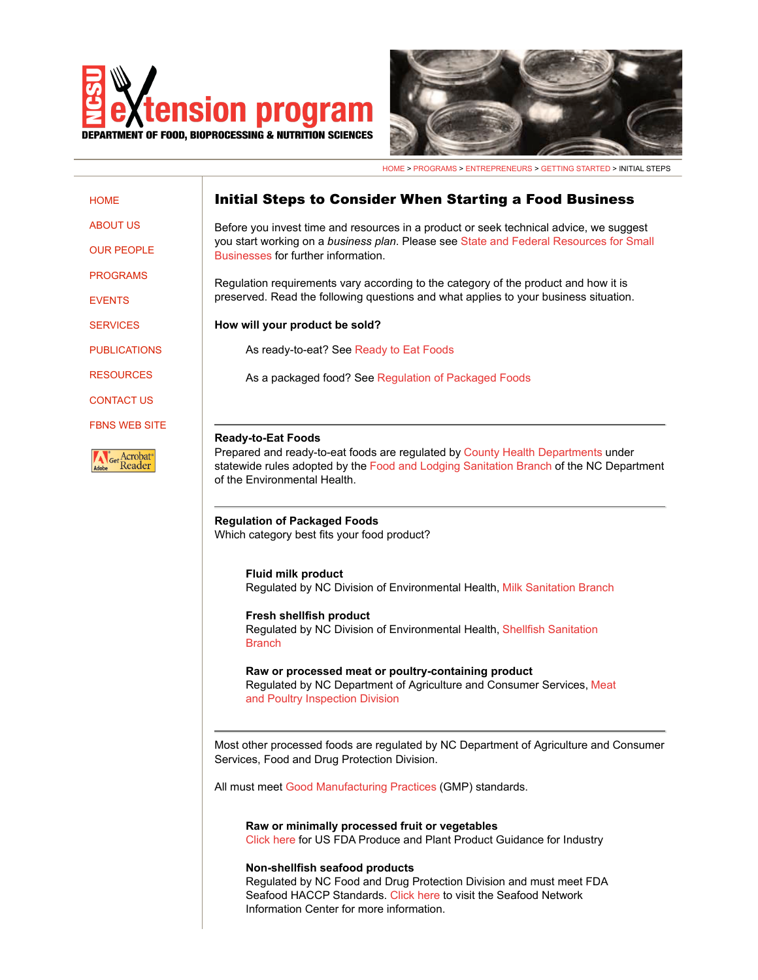



HOME > PROGRAMS > ENTREPRENEURS > GETTING STARTED > INITIAL STEPS

## Initial Steps to Consider When Starting a Food Business **HOME** Before you invest time and resources in a product or seek technical advice, we suggest you start working on a *business plan*. Please see State and Federal Resources for Small Businesses for further information. Regulation requirements vary according to the category of the product and how it is preserved. Read the following questions and what applies to your business situation. **How will your product be sold?** As ready-to-eat? See Ready to Eat Foods As a packaged food? See Regulation of Packaged Foods **Ready-to-Eat Foods** Prepared and ready-to-eat foods are regulated by County Health Departments under Get Acrobat<sup>®</sup><br>Reader statewide rules adopted by the Food and Lodging Sanitation Branch of the NC Department of the Environmental Health. **Regulation of Packaged Foods** Which category best fits your food product? **Fluid milk product** Regulated by NC Division of Environmental Health, Milk Sanitation Branch **Fresh shellfish product** Regulated by NC Division of Environmental Health, Shellfish Sanitation **Branch Raw or processed meat or poultry-containing product** Regulated by NC Department of Agriculture and Consumer Services, Meat and Poultry Inspection Division Most other processed foods are regulated by NC Department of Agriculture and Consumer Services, Food and Drug Protection Division. All must meet Good Manufacturing Practices (GMP) standards. **Raw or minimally processed fruit or vegetables** Click here for US FDA Produce and Plant Product Guidance for Industry **Non-shellfish seafood products** Regulated by NC Food and Drug Protection Division and must meet FDA Seafood HACCP Standards. Click here to visit the Seafood Network Information Center for more information.

ABOUT US

OUR PEOPLE

PROGRAMS

EVENTS

**SERVICES** 

PUBLICATIONS

RESOURCES

CONTACT US

FBNS WEB SITE